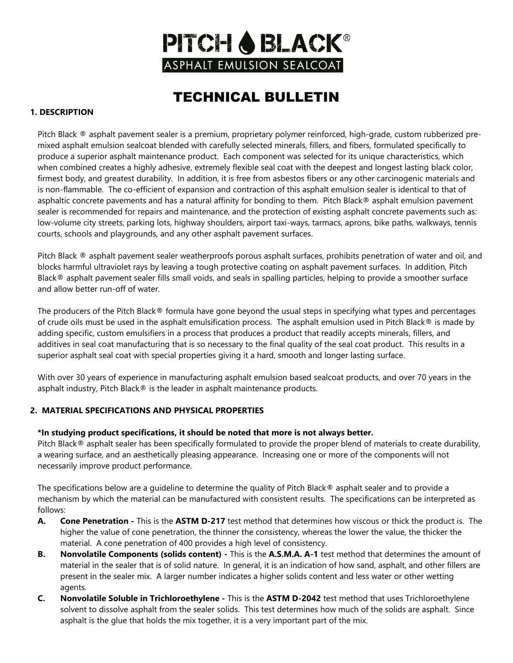

### TECHNICAL BULLETIN

#### **1. DESCRIPTION**

Pitch Black ® asphalt pavement sealer is a premium, proprietary polymer reinforced, high-grade, custom rubberized premixed asphalt emulsion sealcoat blended with carefully selected minerals, fillers, and fibers, formulated specifically to produce a superior asphalt maintenance product. Each component was selected for its unique characteristics, which when combined creates a highly adhesive, extremely flexible seal coat with the deepest and longest lasting black color, firmest body, and greatest durability. In addition, it is free from asbestos fibers or any other carcinogenic materials and is non-flammable. The co-efficient of expansion and contraction of this asphalt emulsion sealer is identical to that of asphaltic concrete pavements and has a natural affinity for bonding to them. Pitch Black® asphalt emulsion pavement sealer is recommended for repairs and maintenance, and the protection of existing asphalt concrete pavements such as: low-volume city streets, parking lots, highway shoulders, airport taxi-ways, tarmacs, aprons, bike paths, walkways, tennis courts, schools and playgrounds, and any other asphalt pavement surfaces.

Pitch Black ® asphalt pavement sealer weatherproofs porous asphalt surfaces, prohibits penetration of water and oil, and blocks harmful ultraviolet rays by leaving a tough protective coating on asphalt pavement surfaces. In addition, Pitch Black® asphalt pavement sealer fills small voids, and seals in spalling particles, helping to provide a smoother surface and allow better run-off of water.

The producers of the Pitch Black® formula have gone beyond the usual steps in specifying what types and percentages of crude oils must be used in the asphalt emulsification process. The asphalt emulsion used in Pitch Black $\otimes$  is made by adding specific, custom emulsifiers in a process that produces a product that readily accepts minerals, fillers, and additives in seal coat manufacturing that is so necessary to the final quality of the seal coat product. This results in a superior asphalt seal coat with special properties giving it a hard, smooth and longer lasting surface.

With over 30 years of experience in manufacturing asphalt emulsion based sealcoat products, and over 70 years in the asphalt industry, Pitch Black® is the leader in asphalt maintenance products.

#### **2. MATERIAL SPECIFICATIONS AND PHYSICAL PROPERTIES**

#### **\*In studying product specifications, it should be noted that more is not always better.**

Pitch Black® asphalt sealer has been specifically formulated to provide the proper blend of materials to create durability, a wearing surface, and an aesthetically pleasing appearance. Increasing one or more of the components will not necessarily improve product performance.

The specifications below are a quideline to determine the quality of Pitch Black® asphalt sealer and to provide a mechanism by which the material can be manufactured with consistent results. The specifications can be interpreted as follows:

- **A. Cone Penetration -** This is the **ASTM D-217** test method that determines how viscous or thick the product is. The higher the value of cone penetration, the thinner the consistency, whereas the lower the value, the thicker the material. A cone penetration of 400 provides a high level of consistency.
- **B. Nonvolatile Components (solids content) -** This is the **A.S.M.A. A-1** test method that determines the amount of material in the sealer that is of solid nature. In general, it is an indication of how sand, asphalt, and other fillers are present in the sealer mix. A larger number indicates a higher solids content and less water or other wetting agents.
- **C. Nonvolatile Soluble in Trichloroethylene -** This is the **ASTM D-2042** test method that uses Trichloroethylene solvent to dissolve asphalt from the sealer solids. This test determines how much of the solids are asphalt. Since asphalt is the glue that holds the mix together, it is a very important part of the mix.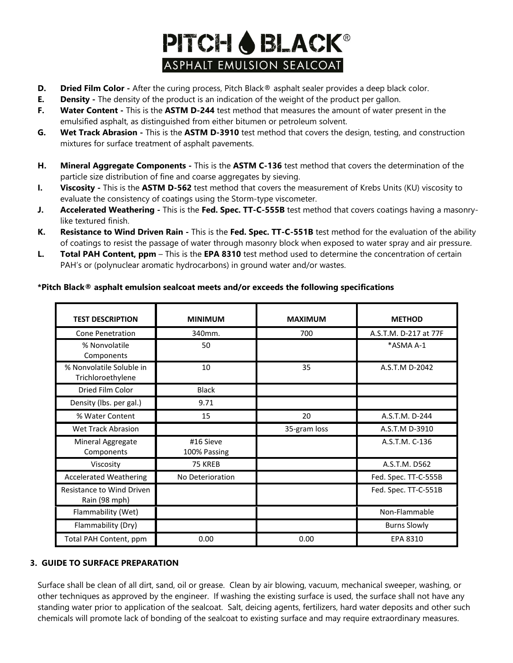# **PITCH & BLACK®** ASPHALT EMULSION SEALCOAT

- **D. Dried Film Color** After the curing process, Pitch Black® asphalt sealer provides a deep black color.
- **E. Density** The density of the product is an indication of the weight of the product per gallon.
- **F. Water Content -** This is the **ASTM D-244** test method that measures the amount of water present in the emulsified asphalt, as distinguished from either bitumen or petroleum solvent.
- **G. Wet Track Abrasion -** This is the **ASTM D-3910** test method that covers the design, testing, and construction mixtures for surface treatment of asphalt pavements.
- **H. Mineral Aggregate Components -** This is the **ASTM C-136** test method that covers the determination of the particle size distribution of fine and coarse aggregates by sieving.
- **I. Viscosity -** This is the **ASTM D-562** test method that covers the measurement of Krebs Units (KU) viscosity to evaluate the consistency of coatings using the Storm-type viscometer.
- **J. Accelerated Weathering -** This is the **Fed. Spec. TT-C-555B** test method that covers coatings having a masonrylike textured finish.
- **K. Resistance to Wind Driven Rain -** This is the **Fed. Spec. TT-C-551B** test method for the evaluation of the ability of coatings to resist the passage of water through masonry block when exposed to water spray and air pressure.
- **L. Total PAH Content, ppm** This is the **EPA 8310** test method used to determine the concentration of certain PAH's or (polynuclear aromatic hydrocarbons) in ground water and/or wastes.

#### **\*Pitch Black® asphalt emulsion sealcoat meets and/or exceeds the following specifications**

| <b>TEST DESCRIPTION</b>                       | <b>MINIMUM</b>            | <b>MAXIMUM</b> | <b>METHOD</b>         |
|-----------------------------------------------|---------------------------|----------------|-----------------------|
| <b>Cone Penetration</b>                       | 340mm.                    | 700            | A.S.T.M. D-217 at 77F |
| % Nonvolatile<br>Components                   | 50                        |                | *ASMA A-1             |
| % Nonvolatile Soluble in<br>Trichloroethylene | 10                        | 35             | A.S.T.M D-2042        |
| Dried Film Color                              | <b>Black</b>              |                |                       |
| Density (Ibs. per gal.)                       | 9.71                      |                |                       |
| % Water Content                               | 15                        | 20             | A.S.T.M. D-244        |
| <b>Wet Track Abrasion</b>                     |                           | 35-gram loss   | A.S.T.M D-3910        |
| Mineral Aggregate<br>Components               | #16 Sieve<br>100% Passing |                | A.S.T.M. C-136        |
| Viscosity                                     | 75 KREB                   |                | A.S.T.M. D562         |
| <b>Accelerated Weathering</b>                 | No Deterioration          |                | Fed. Spec. TT-C-555B  |
| Resistance to Wind Driven<br>Rain (98 mph)    |                           |                | Fed. Spec. TT-C-551B  |
| Flammability (Wet)                            |                           |                | Non-Flammable         |
| Flammability (Dry)                            |                           |                | <b>Burns Slowly</b>   |
| Total PAH Content, ppm                        | 0.00                      | 0.00           | EPA 8310              |

#### **3. GUIDE TO SURFACE PREPARATION**

Surface shall be clean of all dirt, sand, oil or grease. Clean by air blowing, vacuum, mechanical sweeper, washing, or other techniques as approved by the engineer. If washing the existing surface is used, the surface shall not have any standing water prior to application of the sealcoat. Salt, deicing agents, fertilizers, hard water deposits and other such chemicals will promote lack of bonding of the sealcoat to existing surface and may require extraordinary measures.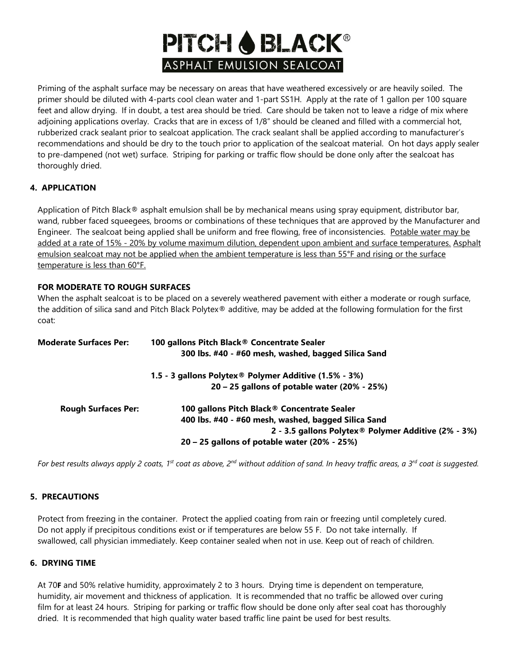# **PITCH & BLACK®** ASPHALT EMULSION SEALCOAT

Priming of the asphalt surface may be necessary on areas that have weathered excessively or are heavily soiled. The primer should be diluted with 4-parts cool clean water and 1-part SS1H. Apply at the rate of 1 gallon per 100 square feet and allow drying. If in doubt, a test area should be tried. Care should be taken not to leave a ridge of mix where adjoining applications overlay. Cracks that are in excess of 1/8" should be cleaned and filled with a commercial hot, rubberized crack sealant prior to sealcoat application. The crack sealant shall be applied according to manufacturer's recommendations and should be dry to the touch prior to application of the sealcoat material. On hot days apply sealer to pre-dampened (not wet) surface. Striping for parking or traffic flow should be done only after the sealcoat has thoroughly dried.

#### **4. APPLICATION**

Application of Pitch Black® asphalt emulsion shall be by mechanical means using spray equipment, distributor bar, wand, rubber faced squeegees, brooms or combinations of these techniques that are approved by the Manufacturer and Engineer. The sealcoat being applied shall be uniform and free flowing, free of inconsistencies. Potable water may be added at a rate of 15% - 20% by volume maximum dilution, dependent upon ambient and surface temperatures. Asphalt emulsion sealcoat may not be applied when the ambient temperature is less than 55°F and rising or the surface temperature is less than 60°F.

#### **FOR MODERATE TO ROUGH SURFACES**

When the asphalt sealcoat is to be placed on a severely weathered pavement with either a moderate or rough surface, the addition of silica sand and Pitch Black Polytex® additive, may be added at the following formulation for the first coat:

| <b>Moderate Surfaces Per:</b> | 100 gallons Pitch Black® Concentrate Sealer<br>300 lbs. #40 - #60 mesh, washed, bagged Silica Sand |  |  |
|-------------------------------|----------------------------------------------------------------------------------------------------|--|--|
|                               | 1.5 - 3 gallons Polytex <sup>®</sup> Polymer Additive (1.5% - 3%)                                  |  |  |
|                               | 20 – 25 gallons of potable water (20% - 25%)                                                       |  |  |
| <b>Rough Surfaces Per:</b>    | 100 gallons Pitch Black® Concentrate Sealer                                                        |  |  |
|                               | 400 lbs. #40 - #60 mesh, washed, bagged Silica Sand                                                |  |  |
|                               | 2 - 3.5 gallons Polytex® Polymer Additive (2% - 3%)                                                |  |  |
|                               | 20 – 25 gallons of potable water (20% - 25%)                                                       |  |  |

*For best results always apply 2 coats, 1st coat as above, 2nd without addition of sand. In heavy traffic areas, a 3rd coat is suggested.* 

#### **5. PRECAUTIONS**

Protect from freezing in the container. Protect the applied coating from rain or freezing until completely cured. Do not apply if precipitous conditions exist or if temperatures are below 55 F. Do not take internally. If swallowed, call physician immediately. Keep container sealed when not in use. Keep out of reach of children.

#### **6. DRYING TIME**

At 70**F** and 50% relative humidity, approximately 2 to 3 hours. Drying time is dependent on temperature, humidity, air movement and thickness of application. It is recommended that no traffic be allowed over curing film for at least 24 hours. Striping for parking or traffic flow should be done only after seal coat has thoroughly dried. It is recommended that high quality water based traffic line paint be used for best results.